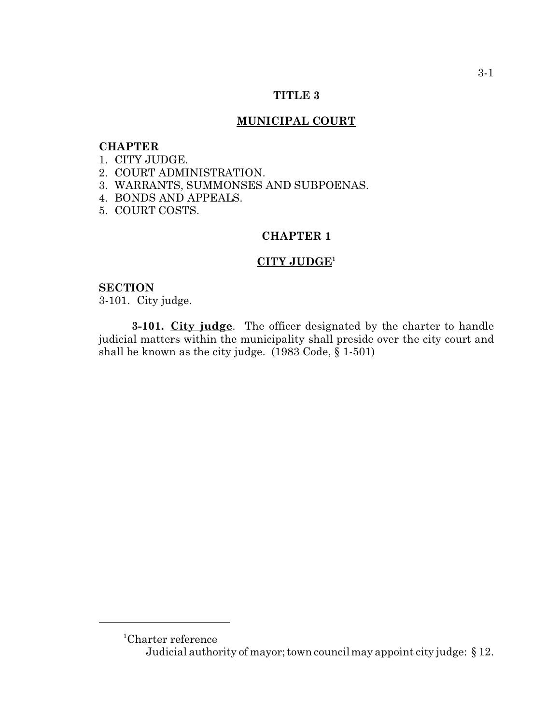## **TITLE 3**

#### **MUNICIPAL COURT**

## **CHAPTER**

#### 1. CITY JUDGE.

- 2. COURT ADMINISTRATION.
- 3. WARRANTS, SUMMONSES AND SUBPOENAS.
- 4. BONDS AND APPEALS.
- 5. COURT COSTS.

## **CHAPTER 1**

#### **CITY JUDGE<sup>1</sup>**

#### **SECTION**

3-101. City judge.

**3-101. City judge**. The officer designated by the charter to handle judicial matters within the municipality shall preside over the city court and shall be known as the city judge. (1983 Code, § 1-501)

<sup>1</sup>Charter reference Judicial authority of mayor; town council may appoint city judge: § 12.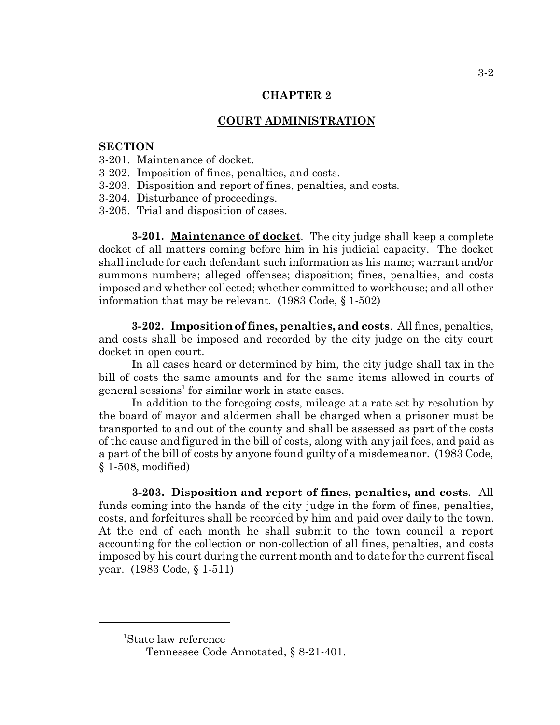#### **COURT ADMINISTRATION**

#### **SECTION**

- 3-201. Maintenance of docket.
- 3-202. Imposition of fines, penalties, and costs.
- 3-203. Disposition and report of fines, penalties, and costs.
- 3-204. Disturbance of proceedings.
- 3-205. Trial and disposition of cases.

**3-201. Maintenance of docket**. The city judge shall keep a complete docket of all matters coming before him in his judicial capacity. The docket shall include for each defendant such information as his name; warrant and/or summons numbers; alleged offenses; disposition; fines, penalties, and costs imposed and whether collected; whether committed to workhouse; and all other information that may be relevant. (1983 Code, § 1-502)

**3-202. Imposition of fines, penalties, and costs**. All fines, penalties, and costs shall be imposed and recorded by the city judge on the city court docket in open court.

In all cases heard or determined by him, the city judge shall tax in the bill of costs the same amounts and for the same items allowed in courts of general sessions<sup>1</sup> for similar work in state cases.

In addition to the foregoing costs, mileage at a rate set by resolution by the board of mayor and aldermen shall be charged when a prisoner must be transported to and out of the county and shall be assessed as part of the costs of the cause and figured in the bill of costs, along with any jail fees, and paid as a part of the bill of costs by anyone found guilty of a misdemeanor. (1983 Code, § 1-508, modified)

**3-203. Disposition and report of fines, penalties, and costs**. All funds coming into the hands of the city judge in the form of fines, penalties, costs, and forfeitures shall be recorded by him and paid over daily to the town. At the end of each month he shall submit to the town council a report accounting for the collection or non-collection of all fines, penalties, and costs imposed by his court during the current month and to date for the current fiscal year. (1983 Code, § 1-511)

<sup>1</sup>State law reference Tennessee Code Annotated, § 8-21-401.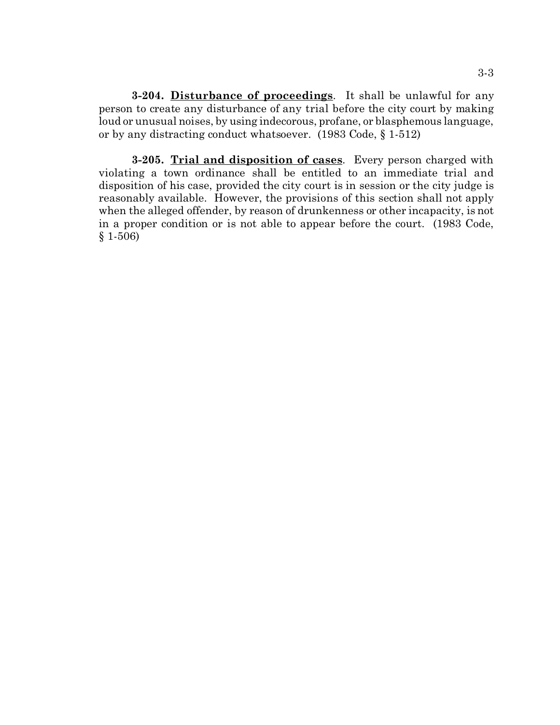**3-204. Disturbance of proceedings**. It shall be unlawful for any person to create any disturbance of any trial before the city court by making loud or unusual noises, by using indecorous, profane, or blasphemous language, or by any distracting conduct whatsoever. (1983 Code, § 1-512)

**3-205. Trial and disposition of cases**. Every person charged with violating a town ordinance shall be entitled to an immediate trial and disposition of his case, provided the city court is in session or the city judge is reasonably available. However, the provisions of this section shall not apply when the alleged offender, by reason of drunkenness or other incapacity, is not in a proper condition or is not able to appear before the court. (1983 Code, § 1-506)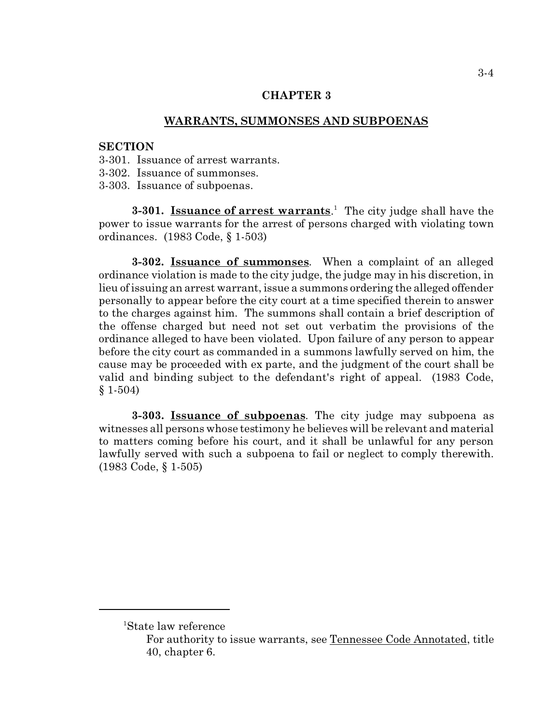#### **WARRANTS, SUMMONSES AND SUBPOENAS**

#### **SECTION**

- 3-301. Issuance of arrest warrants.
- 3-302. Issuance of summonses.
- 3-303. Issuance of subpoenas.

**3-301. Issuance of arrest warrants**. 1 The city judge shall have the power to issue warrants for the arrest of persons charged with violating town ordinances. (1983 Code, § 1-503)

**3-302. Issuance of summonses**. When a complaint of an alleged ordinance violation is made to the city judge, the judge may in his discretion, in lieu of issuing an arrest warrant, issue a summons ordering the alleged offender personally to appear before the city court at a time specified therein to answer to the charges against him. The summons shall contain a brief description of the offense charged but need not set out verbatim the provisions of the ordinance alleged to have been violated. Upon failure of any person to appear before the city court as commanded in a summons lawfully served on him, the cause may be proceeded with ex parte, and the judgment of the court shall be valid and binding subject to the defendant's right of appeal. (1983 Code, § 1-504)

**3-303. Issuance of subpoenas**. The city judge may subpoena as witnesses all persons whose testimony he believes will be relevant and material to matters coming before his court, and it shall be unlawful for any person lawfully served with such a subpoena to fail or neglect to comply therewith. (1983 Code, § 1-505)

<sup>1</sup>State law reference

For authority to issue warrants, see Tennessee Code Annotated, title 40, chapter 6.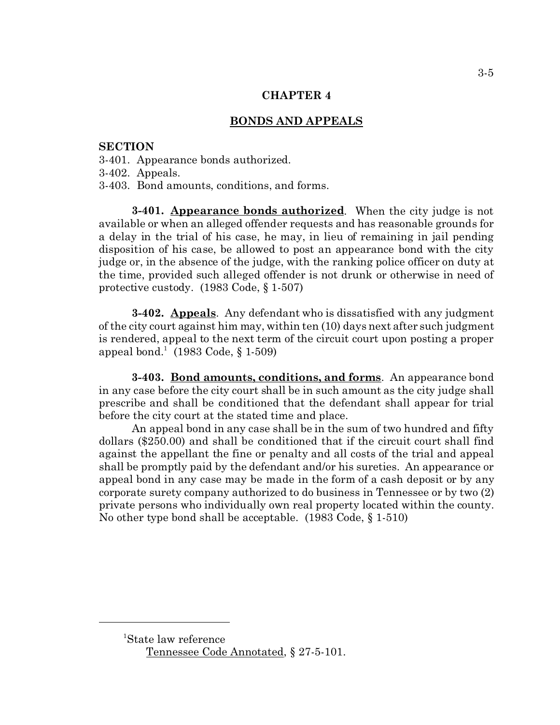## **BONDS AND APPEALS**

#### **SECTION**

- 3-401. Appearance bonds authorized.
- 3-402. Appeals.
- 3-403. Bond amounts, conditions, and forms.

**3-401. Appearance bonds authorized**. When the city judge is not available or when an alleged offender requests and has reasonable grounds for a delay in the trial of his case, he may, in lieu of remaining in jail pending disposition of his case, be allowed to post an appearance bond with the city judge or, in the absence of the judge, with the ranking police officer on duty at the time, provided such alleged offender is not drunk or otherwise in need of protective custody. (1983 Code, § 1-507)

**3-402. Appeals**. Any defendant who is dissatisfied with any judgment of the city court against him may, within ten (10) days next after such judgment is rendered, appeal to the next term of the circuit court upon posting a proper appeal bond.<sup>1</sup> (1983 Code, § 1-509)

**3-403. Bond amounts, conditions, and forms**. An appearance bond in any case before the city court shall be in such amount as the city judge shall prescribe and shall be conditioned that the defendant shall appear for trial before the city court at the stated time and place.

An appeal bond in any case shall be in the sum of two hundred and fifty dollars (\$250.00) and shall be conditioned that if the circuit court shall find against the appellant the fine or penalty and all costs of the trial and appeal shall be promptly paid by the defendant and/or his sureties. An appearance or appeal bond in any case may be made in the form of a cash deposit or by any corporate surety company authorized to do business in Tennessee or by two (2) private persons who individually own real property located within the county. No other type bond shall be acceptable. (1983 Code, § 1-510)

<sup>1</sup>State law reference Tennessee Code Annotated, § 27-5-101.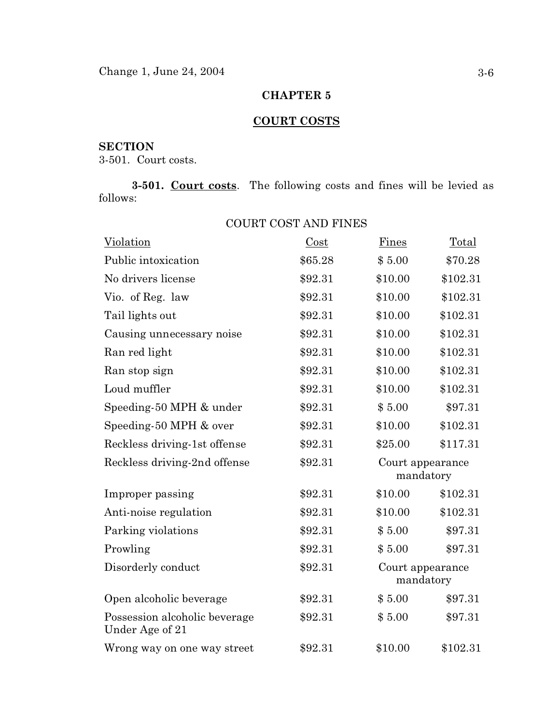# **COURT COSTS**

# **SECTION**

3-501. Court costs.

**3-501. Court costs**. The following costs and fines will be levied as follows:

| Violation                                        | Cost    | Fines                         | Total    |
|--------------------------------------------------|---------|-------------------------------|----------|
| Public intoxication                              | \$65.28 | \$5.00                        | \$70.28  |
| No drivers license                               | \$92.31 | \$10.00                       | \$102.31 |
| Vio. of Reg. law                                 | \$92.31 | \$10.00                       | \$102.31 |
| Tail lights out                                  | \$92.31 | \$10.00                       | \$102.31 |
| Causing unnecessary noise                        | \$92.31 | \$10.00                       | \$102.31 |
| Ran red light                                    | \$92.31 | \$10.00                       | \$102.31 |
| Ran stop sign                                    | \$92.31 | \$10.00                       | \$102.31 |
| Loud muffler                                     | \$92.31 | \$10.00                       | \$102.31 |
| Speeding-50 MPH & under                          | \$92.31 | \$5.00                        | \$97.31  |
| Speeding-50 MPH & over                           | \$92.31 | \$10.00                       | \$102.31 |
| Reckless driving-1st offense                     | \$92.31 | \$25.00                       | \$117.31 |
| Reckless driving-2nd offense                     | \$92.31 | Court appearance<br>mandatory |          |
| Improper passing                                 | \$92.31 | \$10.00                       | \$102.31 |
| Anti-noise regulation                            | \$92.31 | \$10.00                       | \$102.31 |
| Parking violations                               | \$92.31 | \$5.00                        | \$97.31  |
| Prowling                                         | \$92.31 | \$5.00                        | \$97.31  |
| Disorderly conduct                               | \$92.31 | Court appearance<br>mandatory |          |
| Open alcoholic beverage                          | \$92.31 | \$5.00                        | \$97.31  |
| Possession alcoholic beverage<br>Under Age of 21 | \$92.31 | \$5.00                        | \$97.31  |
| Wrong way on one way street                      | \$92.31 | \$10.00                       | \$102.31 |

# COURT COST AND FINES